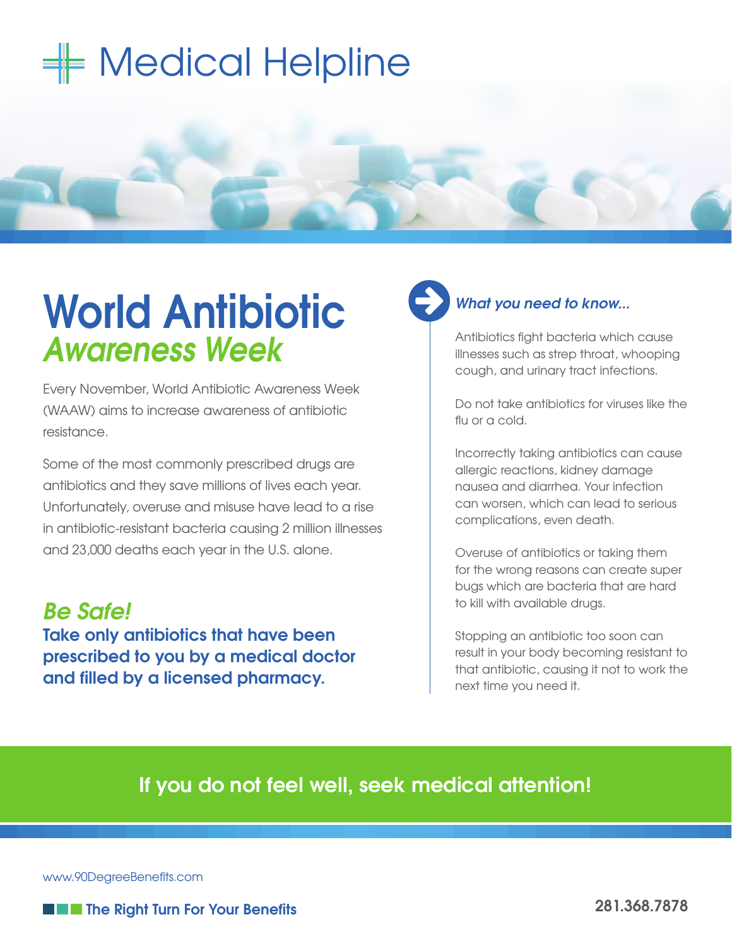## $\equiv$  Medical Helpline

## **World Antibiotic** *Awareness Week*

Every November, World Antibiotic Awareness Week (WAAW) aims to increase awareness of antibiotic resistance.

Some of the most commonly prescribed drugs are antibiotics and they save millions of lives each year. Unfortunately, overuse and misuse have lead to a rise in antibiotic-resistant bacteria causing 2 million illnesses and 23,000 deaths each year in the U.S. alone.

*Be Safe!* **Take only antibiotics that have been prescribed to you by a medical doctor and filled by a licensed pharmacy.**

## *What you need to know...*

Antibiotics fight bacteria which cause illnesses such as strep throat, whooping cough, and urinary tract infections.

Do not take antibiotics for viruses like the flu or a cold.

Incorrectly taking antibiotics can cause allergic reactions, kidney damage nausea and diarrhea. Your infection can worsen, which can lead to serious complications, even death.

Overuse of antibiotics or taking them for the wrong reasons can create super bugs which are bacteria that are hard to kill with available drugs.

Stopping an antibiotic too soon can result in your body becoming resistant to that antibiotic, causing it not to work the next time you need it.

## **If you do not feel well, seek medical attention!**

www.90DegreeBenefits.com



**THE THE Right Turn For Your Benefits**